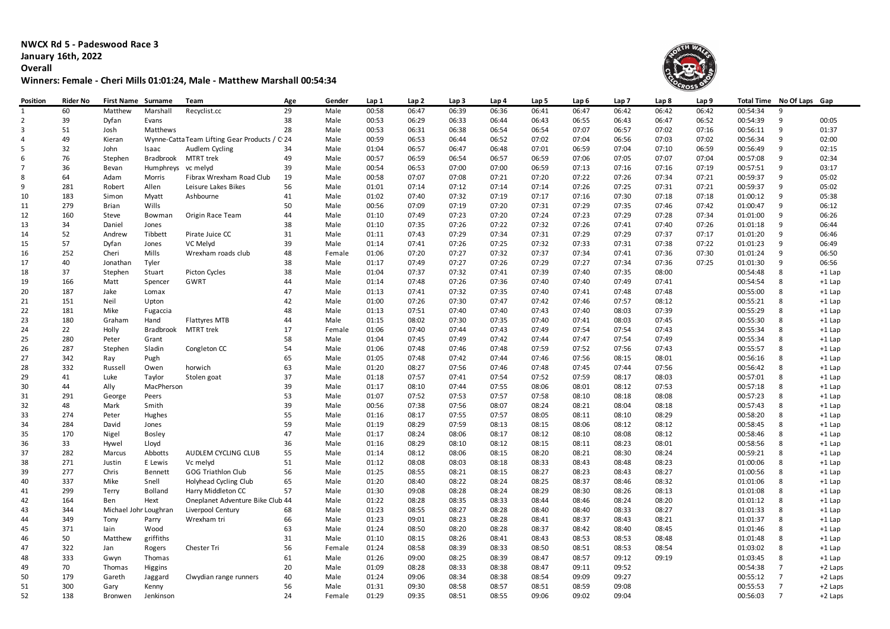**NWCX Rd 5 - Padeswood Race 3 January 16th, 2022 Overall**

## **Winners: Female - Cheri Mills 01:01:24, Male - Matthew Marshall 00:54:34**



| Position       | Rider No | <b>First Name Surname</b> |                     | Team                                          | Age | Gender | Lap 1 | Lap <sub>2</sub> | Lap <sub>3</sub> | Lap 4 | Lap 5 | Lap 6 | Lap <sub>7</sub> | Lap 8 | Lap 9 | Total Time No Of Laps |                | Gap      |
|----------------|----------|---------------------------|---------------------|-----------------------------------------------|-----|--------|-------|------------------|------------------|-------|-------|-------|------------------|-------|-------|-----------------------|----------------|----------|
| 1              | 60       | Matthew                   | Marshall            | Recyclist.cc                                  | 29  | Male   | 00:58 | 06:47            | 06:39            | 06:36 | 06:41 | 06:47 | 06:42            | 06:42 | 06:42 | 00:54:34              | 9              |          |
| $\overline{2}$ | 39       | Dyfan                     | Evans               |                                               | 38  | Male   | 00:53 | 06:29            | 06:33            | 06:44 | 06:43 | 06:55 | 06:43            | 06:47 | 06:52 | 00:54:39              | 9              | 00:05    |
| 3              | 51       | Josh                      | Matthews            |                                               | 28  | Male   | 00:53 | 06:31            | 06:38            | 06:54 | 06:54 | 07:07 | 06:57            | 07:02 | 07:16 | 00:56:11              | 9              | 01:37    |
| 4              | 49       | Kieran                    |                     | Wynne-Catta Team Lifting Gear Products / C 24 |     | Male   | 00:59 | 06:53            | 06:44            | 06:52 | 07:02 | 07:04 | 06:56            | 07:03 | 07:02 | 00:56:34              | 9              | 02:00    |
| 5              | 32       | John                      | Isaac               | Audlem Cycling                                | 34  | Male   | 01:04 | 06:57            | 06:47            | 06:48 | 07:01 | 06:59 | 07:04            | 07:10 | 06:59 | 00:56:49              | 9              | 02:15    |
| 6              | 76       | Stephen                   | Bradbrook MTRT trek |                                               | 49  | Male   | 00:57 | 06:59            | 06:54            | 06:57 | 06:59 | 07:06 | 07:05            | 07:07 | 07:04 | 00:57:08              | 9              | 02:34    |
| $\overline{7}$ | 36       | Bevan                     | Humphreys vc melyd  |                                               | 39  | Male   | 00:54 | 06:53            | 07:00            | 07:00 | 06:59 | 07:13 | 07:16            | 07:16 | 07:19 | 00:57:51              | 9              | 03:17    |
| 8              | 64       | Adam                      | Morris              | Fibrax Wrexham Road Club                      | 19  | Male   | 00:58 | 07:07            | 07:08            | 07:21 | 07:20 | 07:22 | 07:26            | 07:34 | 07:21 | 00:59:37              | 9              | 05:02    |
| 9              | 281      | Robert                    | Allen               | Leisure Lakes Bikes                           | 56  | Male   | 01:01 | 07:14            | 07:12            | 07:14 | 07:14 | 07:26 | 07:25            | 07:31 | 07:21 | 00:59:37              | 9              | 05:02    |
| 10             | 183      | Simon                     | Myatt               | Ashbourne                                     | 41  | Male   | 01:02 | 07:40            | 07:32            | 07:19 | 07:17 | 07:16 | 07:30            | 07:18 | 07:18 | 01:00:12              | 9              | 05:38    |
| 11             | 279      | Brian                     | Wills               |                                               | 50  | Male   | 00:56 | 07:09            | 07:19            | 07:20 | 07:31 | 07:29 | 07:35            | 07:46 | 07:42 | 01:00:47              | 9              | 06:12    |
| 12             | 160      | Steve                     | Bowman              | Origin Race Team                              | 44  | Male   | 01:10 | 07:49            | 07:23            | 07:20 | 07:24 | 07:23 | 07:29            | 07:28 | 07:34 | 01:01:00              | 9              | 06:26    |
| 13             | 34       | Daniel                    | Jones               |                                               | 38  | Male   | 01:10 | 07:35            | 07:26            | 07:22 | 07:32 | 07:26 | 07:41            | 07:40 | 07:26 | 01:01:18              | 9              | 06:44    |
| 14             | 52       | Andrew                    | Tibbett             | Pirate Juice CC                               | 31  | Male   | 01:11 | 07:43            | 07:29            | 07:34 | 07:31 | 07:29 | 07:29            | 07:37 | 07:17 | 01:01:20              | 9              | 06:46    |
| 15             | 57       | Dyfan                     | Jones               | VC Melyd                                      | 39  | Male   | 01:14 | 07:41            | 07:26            | 07:25 | 07:32 | 07:33 | 07:31            | 07:38 | 07:22 | 01:01:23              | 9              | 06:49    |
| 16             | 252      | Cheri                     | Mills               | Wrexham roads club                            | 48  | Female | 01:06 | 07:20            | 07:27            | 07:32 | 07:37 | 07:34 | 07:41            | 07:36 | 07:30 | 01:01:24              | 9              | 06:50    |
| 17             | 40       | Jonathan                  | Tyler               |                                               | 38  | Male   | 01:17 | 07:49            | 07:27            | 07:26 | 07:29 | 07:27 | 07:34            | 07:36 | 07:25 | 01:01:30              | 9              | 06:56    |
| 18             | 37       | Stephen                   | Stuart              | Picton Cycles                                 | 38  | Male   | 01:04 | 07:37            | 07:32            | 07:41 | 07:39 | 07:40 | 07:35            | 08:00 |       | 00:54:48              | 8              | $+1$ Lap |
| 19             | 166      | Matt                      | Spencer             | GWRT                                          | 44  | Male   | 01:14 | 07:48            | 07:26            | 07:36 | 07:40 | 07:40 | 07:49            | 07:41 |       | 00:54:54              | 8              | $+1$ Lap |
| 20             | 187      | Jake                      | Lomax               |                                               | 47  | Male   | 01:13 | 07:41            | 07:32            | 07:35 | 07:40 | 07:41 | 07:48            | 07:48 |       | 00:55:00              | 8              | $+1$ Lap |
| 21             | 151      | Neil                      | Upton               |                                               | 42  | Male   | 01:00 | 07:26            | 07:30            | 07:47 | 07:42 | 07:46 | 07:57            | 08:12 |       | 00:55:21              | 8              | $+1$ Lap |
| 22             | 181      | Mike                      | Fugaccia            |                                               | 48  | Male   | 01:13 | 07:51            | 07:40            | 07:40 | 07:43 | 07:40 | 08:03            | 07:39 |       | 00:55:29              | 8              | $+1$ Lap |
| 23             | 180      | Graham                    | Hand                | <b>Flattyres MTB</b>                          | 44  | Male   | 01:15 | 08:02            | 07:30            | 07:35 | 07:40 | 07:41 | 08:03            | 07:45 |       | 00:55:30              | 8              | $+1$ Lap |
| 24             | 22       | Holly                     | Bradbrook           | MTRT trek                                     | 17  | Female | 01:06 | 07:40            | 07:44            | 07:43 | 07:49 | 07:54 | 07:54            | 07:43 |       | 00:55:34              | 8              | $+1$ Lap |
| 25             | 280      | Peter                     | Grant               |                                               | 58  | Male   | 01:04 | 07:45            | 07:49            | 07:42 | 07:44 | 07:47 | 07:54            | 07:49 |       | 00:55:34              | 8              | $+1$ Lap |
| 26             | 287      | Stephen                   | Sladin              | Congleton CC                                  | 54  | Male   | 01:06 | 07:48            | 07:46            | 07:48 | 07:59 | 07:52 | 07:56            | 07:43 |       | 00:55:57              | 8              | $+1$ Lap |
| 27             | 342      | Ray                       | Pugh                |                                               | 65  | Male   | 01:05 | 07:48            | 07:42            | 07:44 | 07:46 | 07:56 | 08:15            | 08:01 |       | 00:56:16              | 8              | $+1$ Lap |
| 28             | 332      | Russell                   | Owen                | horwich                                       | 63  | Male   | 01:20 | 08:27            | 07:56            | 07:46 | 07:48 | 07:45 | 07:44            | 07:56 |       | 00:56:42              | 8              | $+1$ Lap |
| 29             | 41       | Luke                      | Taylor              | Stolen goat                                   | 37  | Male   | 01:18 | 07:57            | 07:41            | 07:54 | 07:52 | 07:59 | 08:17            | 08:03 |       | 00:57:01              | 8              | $+1$ Lap |
| 30             | 44       | Ally                      | MacPherson          |                                               | 39  | Male   | 01:17 | 08:10            | 07:44            | 07:55 | 08:06 | 08:01 | 08:12            | 07:53 |       | 00:57:18              | 8              | $+1$ Lap |
| 31             | 291      | George                    | Peers               |                                               | 53  | Male   | 01:07 | 07:52            | 07:53            | 07:57 | 07:58 | 08:10 | 08:18            | 08:08 |       | 00:57:23              | 8              | $+1$ Lap |
| 32             | 48       | Mark                      | Smith               |                                               | 39  | Male   | 00:56 | 07:38            | 07:56            | 08:07 | 08:24 | 08:21 | 08:04            | 08:18 |       | 00:57:43              | 8              | $+1$ Lap |
| 33             | 274      | Peter                     | Hughes              |                                               | 55  | Male   | 01:16 | 08:17            | 07:55            | 07:57 | 08:05 | 08:11 | 08:10            | 08:29 |       | 00:58:20              | 8              | $+1$ Lap |
| 34             | 284      | David                     | Jones               |                                               | 59  | Male   | 01:19 | 08:29            | 07:59            | 08:13 | 08:15 | 08:06 | 08:12            | 08:12 |       | 00:58:45              | 8              | $+1$ Lap |
| 35             | 170      | Nigel                     | <b>Bosley</b>       |                                               | 47  | Male   | 01:17 | 08:24            | 08:06            | 08:17 | 08:12 | 08:10 | 08:08            | 08:12 |       | 00:58:46              | 8              | $+1$ Lap |
| 36             | 33       | Hywel                     | Lloyd               |                                               | 36  | Male   | 01:16 | 08:29            | 08:10            | 08:12 | 08:15 | 08:11 | 08:23            | 08:01 |       | 00:58:56              | 8              | $+1$ Lap |
| 37             | 282      | Marcus                    | Abbotts             | AUDLEM CYCLING CLUB                           | 55  | Male   | 01:14 | 08:12            | 08:06            | 08:15 | 08:20 | 08:21 | 08:30            | 08:24 |       | 00:59:21              | 8              | $+1$ Lap |
| 38             | 271      | Justin                    | E Lewis             | Vc melyd                                      | 51  | Male   | 01:12 | 08:08            | 08:03            | 08:18 | 08:33 | 08:43 | 08:48            | 08:23 |       | 01:00:06              | 8              | $+1$ Lap |
| 39             | 277      | Chris                     | Bennett             | <b>GOG Triathlon Club</b>                     | 56  | Male   | 01:25 | 08:55            | 08:21            | 08:15 | 08:27 | 08:23 | 08:43            | 08:27 |       | 01:00:56              | 8              | $+1$ Lap |
| 40             | 337      | Mike                      | Snell               | Holyhead Cycling Club                         | 65  | Male   | 01:20 | 08:40            | 08:22            | 08:24 | 08:25 | 08:37 | 08:46            | 08:32 |       | 01:01:06              | 8              | $+1$ Lap |
| 41             | 299      | Terry                     | <b>Bolland</b>      | Harry Middleton CC                            | 57  | Male   | 01:30 | 09:08            | 08:28            | 08:24 | 08:29 | 08:30 | 08:26            | 08:13 |       | 01:01:08              | 8              | $+1$ Lap |
| 42             | 164      | Ben                       | Hext                | Oneplanet Adventure Bike Club 44              |     | Male   | 01:22 | 08:28            | 08:35            | 08:33 | 08:44 | 08:46 | 08:24            | 08:20 |       | 01:01:12              | 8              | $+1$ Lap |
| 43             | 344      | Michael John Loughran     |                     | Liverpool Century                             | 68  | Male   | 01:23 | 08:55            | 08:27            | 08:28 | 08:40 | 08:40 | 08:33            | 08:27 |       | 01:01:33              | 8              | $+1$ Lap |
| 44             | 349      | Tony                      | Parry               | Wrexham tri                                   | 66  | Male   | 01:23 | 09:01            | 08:23            | 08:28 | 08:41 | 08:37 | 08:43            | 08:21 |       | 01:01:37              | 8              | $+1$ Lap |
| 45             | 371      | lain                      | Wood                |                                               | 63  | Male   | 01:24 | 08:50            | 08:20            | 08:28 | 08:37 | 08:42 | 08:40            | 08:45 |       | 01:01:46              | 8              | $+1$ Lap |
| 46             | 50       | Matthew                   | griffiths           |                                               | 31  | Male   | 01:10 | 08:15            | 08:26            | 08:41 | 08:43 | 08:53 | 08:53            | 08:48 |       | 01:01:48              | 8              | $+1$ Lap |
| 47             | 322      | Jan                       | Rogers              | Chester Tri                                   | 56  | Female | 01:24 | 08:58            | 08:39            | 08:33 | 08:50 | 08:51 | 08:53            | 08:54 |       | 01:03:02              | 8              | $+1$ Lap |
| 48             | 333      | Gwyn                      | Thomas              |                                               | 61  | Male   | 01:26 | 09:00            | 08:25            | 08:39 | 08:47 | 08:57 | 09:12            | 09:19 |       | 01:03:45              | 8              | $+1$ Lap |
| 49             | 70       | Thomas                    | Higgins             |                                               | 20  | Male   | 01:09 | 08:28            | 08:33            | 08:38 | 08:47 | 09:11 | 09:52            |       |       | 00:54:38              | $\overline{7}$ | +2 Laps  |
| 50             | 179      | Gareth                    | Jaggard             | Clwydian range runners                        | 40  | Male   | 01:24 | 09:06            | 08:34            | 08:38 | 08:54 | 09:09 | 09:27            |       |       | 00:55:12              | $\overline{7}$ | +2 Laps  |
| 51             | 300      | Gary                      | Kenny               |                                               | 56  | Male   | 01:31 | 09:30            | 08:58            | 08:57 | 08:51 | 08:59 | 09:08            |       |       | 00:55:53              | $\overline{7}$ | +2 Laps  |
| 52             | 138      | Bronwen                   | Jenkinson           |                                               | 24  | Female | 01:29 | 09:35            | 08:51            | 08:55 | 09:06 | 09:02 | 09:04            |       |       | 00:56:03              | $\overline{7}$ | +2 Laps  |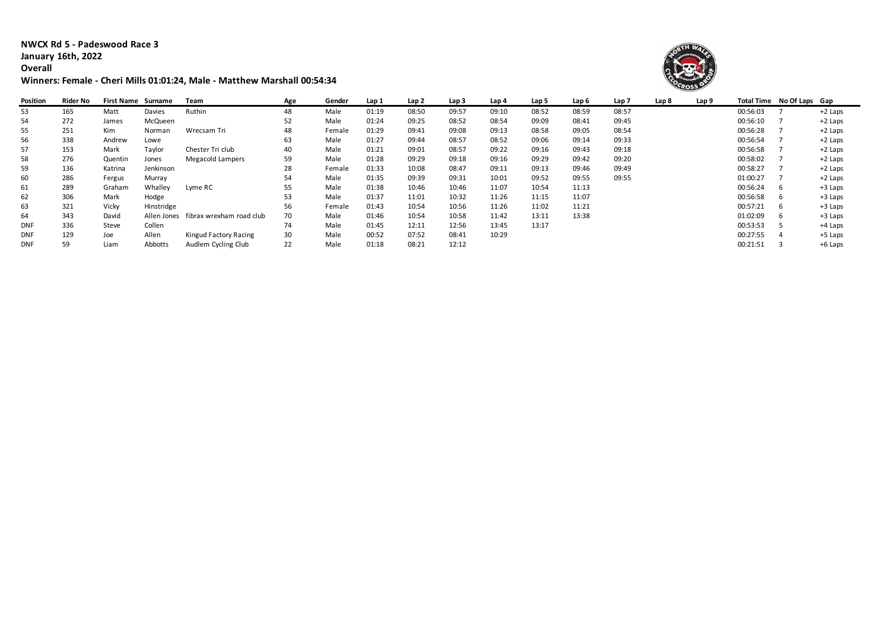**NWCX Rd 5 - Padeswood Race 3 January 16th, 2022 Overall**

## **Winners: Female - Cheri Mills 01:01:24, Male - Matthew Marshall 00:54:34**



| Position   | Rider No | <b>First Name</b> | Surname     | Team                     | Age | Gender | Lap 1 | Lap 2 | Lap 3 | Lap 4 | Lap 5 | Lap 6 | Lap 7 | Lap 8 | Lap 9 |          | Total Time No Of Laps Gap |           |
|------------|----------|-------------------|-------------|--------------------------|-----|--------|-------|-------|-------|-------|-------|-------|-------|-------|-------|----------|---------------------------|-----------|
| 53         | 165      | Matt              | Davies      | Ruthin                   | 48  | Male   | 01:19 | 08:50 | 09:57 | 09:10 | 08:52 | 08:59 | 08:57 |       |       | 00:56:03 |                           | $+2$ Laps |
| 54         | 272      | James             | McQueen     |                          | 52  | Male   | 01:24 | 09:25 | 08:52 | 08:54 | 09:09 | 08:41 | 09:45 |       |       | 00:56:10 |                           | +2 Laps   |
| 55         | 251      | Kim               | Norman      | Wrecsam Tri              | 48  | Female | 01:29 | 09:41 | 09:08 | 09:13 | 08:58 | 09:05 | 08:54 |       |       | 00:56:28 |                           | +2 Laps   |
| 56         | 338      | Andrew            | Lowe        |                          | 63  | Male   | 01:27 | 09:44 | 08:57 | 08:52 | 09:06 | 09:14 | 09:33 |       |       | 00:56:54 |                           | +2 Laps   |
| 57         | 153      | Mark              | Taylor      | Chester Tri club         | 40  | Male   | 01:21 | 09:01 | 08:57 | 09:22 | 09:16 | 09:43 | 09:18 |       |       | 00:56:58 |                           | +2 Laps   |
| 58         | 276      | Quentin           | Jones       | Megacold Lampers         | 59  | Male   | 01:28 | 09:29 | 09:18 | 09:16 | 09:29 | 09:42 | 09:20 |       |       | 00:58:02 |                           | +2 Laps   |
| 59         | 136      | Katrina           | Jenkinson   |                          | 28  | Female | 01:33 | 10:08 | 08:47 | 09:11 | 09:13 | 09:46 | 09:49 |       |       | 00:58:27 |                           | +2 Laps   |
| 60         | 286      | Fergus            | Murray      |                          | 54  | Male   | 01:35 | 09:39 | 09:31 | 10:01 | 09:52 | 09:55 | 09:55 |       |       | 01:00:27 |                           | $+2$ Laps |
| 61         | 289      | Graham            | Whalley     | Lyme RC                  | 55  | Male   | 01:38 | 10:46 | 10:46 | 11:07 | 10:54 | 11:13 |       |       |       | 00:56:24 | - 6                       | +3 Laps   |
| 62         | 306      | Mark              | Hodge       |                          | 53  | Male   | 01:37 | 11:01 | 10:32 | 11:26 | 11:15 | 11:07 |       |       |       | 00:56:58 | -6                        | +3 Laps   |
| 63         | 321      | Vicky             | Hinstridge  |                          | 56  | Female | 01:43 | 10:54 | 10:56 | 11:26 | 11:02 | 11:21 |       |       |       | 00:57:21 | - 6                       | $+3$ Laps |
| 64         | 343      | David             | Allen Jones | fibrax wrexham road club | 70  | Male   | 01:46 | 10:54 | 10:58 | 11:42 | 13:11 | 13:38 |       |       |       | 01:02:09 | -6                        | +3 Laps   |
| <b>DNF</b> | 336      | Steve             | Collen      |                          | 74  | Male   | 01:45 | 12:11 | 12:56 | 13:45 | 13:17 |       |       |       |       | 00:53:53 |                           | +4 Laps   |
| <b>DNF</b> | 129      | Joe               | Allen       | Kingud Factory Racing    | 30  | Male   | 00:52 | 07:52 | 08:41 | 10:29 |       |       |       |       |       | 00:27:55 |                           | +5 Laps   |
| <b>DNF</b> | 59       | Liam              | Abbotts     | Audlem Cycling Club      | 22  | Male   | 01:18 | 08:21 | 12:12 |       |       |       |       |       |       | 00:21:51 |                           | +6 Laps   |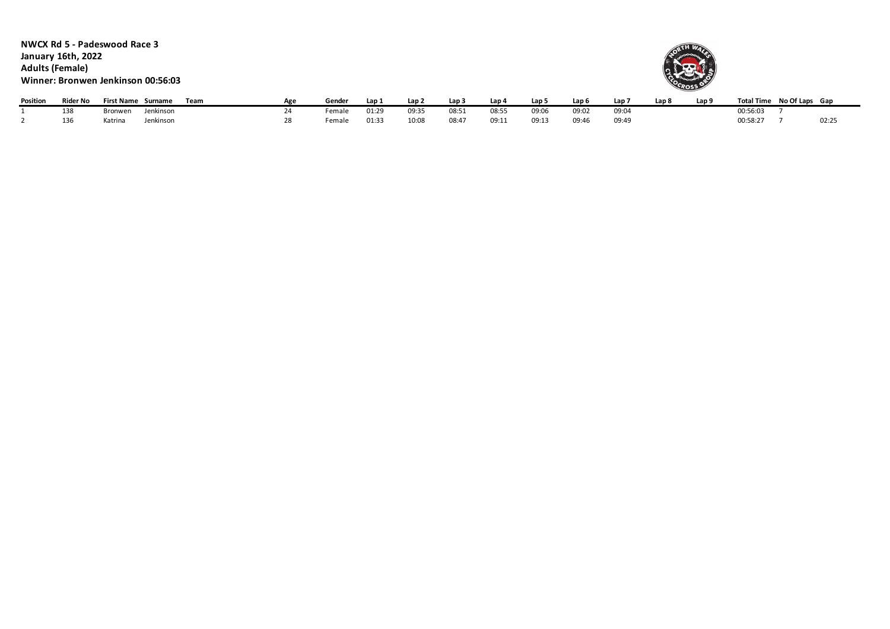**NWCX Rd 5 - Padeswood Race 3 January 16th, 2022 Adults (Female) Winner: Bronwen Jenkinson 00:56:03**



| Position | <b>Rider No</b> | <b>First Name</b> | Surname   | Team | Gender | Lap            | ے Lap | Lap : | -Lap 4 | Lap 5 | Lap 6 | Lap   | Lap 8 | Lap 9 | Total Time No Of Laps Gap |       |
|----------|-----------------|-------------------|-----------|------|--------|----------------|-------|-------|--------|-------|-------|-------|-------|-------|---------------------------|-------|
|          | 138             | ronwen            | Jenkinsor |      | Female | 01:29          | 09:35 | 08:51 | 08:55  | 09:06 | 09:02 | 09:04 |       |       | 00:56:03                  |       |
|          | 136             | atrina)           | Jenkinson |      | Female | $01:3^{\circ}$ | 10:08 | 08:47 | 09:1?  | 09:13 | 09:46 | 09:49 |       |       | 00:58:27                  | 02:25 |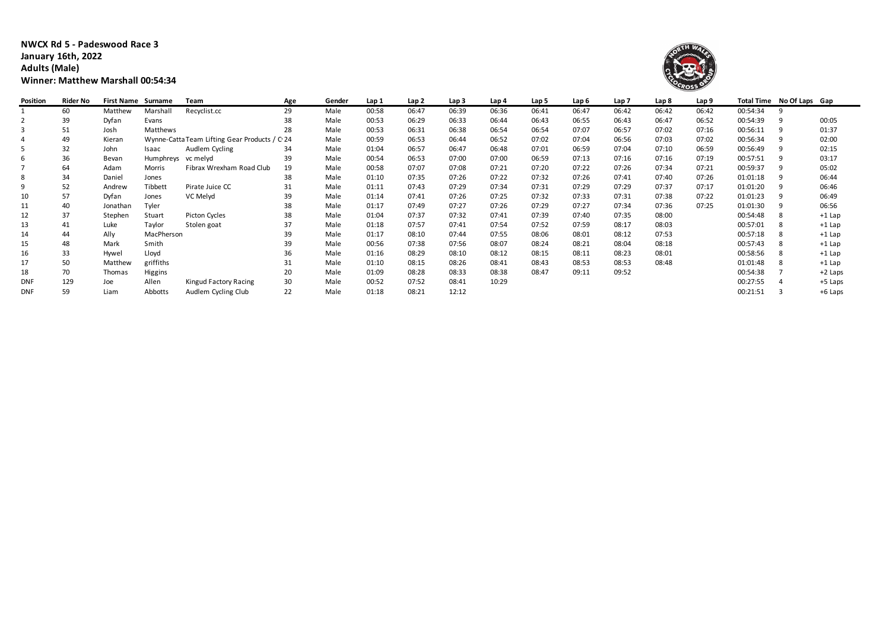**NWCX Rd 5 - Padeswood Race 3 January 16th, 2022 Adults (Male) Winner: Matthew Marshall 00:54:34**



| Position   | Rider No | <b>First Name Surname</b> |                 | Team                                          | Age | Gender | Lap 1 | Lap 2 | Lap 3 | Lap 4 | Lap 5 | Lap 6 | Lap 7 | Lap 8 | Lap 9 |          | Total Time No Of Laps Gap |          |
|------------|----------|---------------------------|-----------------|-----------------------------------------------|-----|--------|-------|-------|-------|-------|-------|-------|-------|-------|-------|----------|---------------------------|----------|
|            | 60       | Matthew                   | Marshal         | Recyclist.cc                                  | 29  | Male   | 00:58 | 06:47 | 06:39 | 06:36 | 06:41 | 06:47 | 06:42 | 06:42 | 06:42 | 00:54:34 |                           |          |
|            | 39       | Dyfan                     | Evans           |                                               | 38  | Male   | 00:53 | 06:29 | 06:33 | 06:44 | 06:43 | 06:55 | 06:43 | 06:47 | 06:52 | 00:54:39 |                           | 00:05    |
|            | 51       | Josh                      | <b>Matthews</b> |                                               | 28  | Male   | 00:53 | 06:31 | 06:38 | 06:54 | 06:54 | 07:07 | 06:57 | 07:02 | 07:16 | 00:56:11 |                           | 01:37    |
| 4          | 49       | Kieran                    |                 | Wynne-Catta Team Lifting Gear Products / C 24 |     | Male   | 00:59 | 06:53 | 06:44 | 06:52 | 07:02 | 07:04 | 06:56 | 07:03 | 07:02 | 00:56:34 |                           | 02:00    |
|            | 32       | John                      | Isaac           | Audlem Cycling                                | 34  | Male   | 01:04 | 06:57 | 06:47 | 06:48 | 07:01 | 06:59 | 07:04 | 07:10 | 06:59 | 00:56:49 |                           | 02:15    |
| 6          | 36       | Bevan                     | Humphreys       | vc melyd                                      | 39  | Male   | 00:54 | 06:53 | 07:00 | 07:00 | 06:59 | 07:13 | 07:16 | 07:16 | 07:19 | 00:57:51 |                           | 03:17    |
|            | 64       | Adam                      | Morris          | Fibrax Wrexham Road Club                      | 19  | Male   | 00:58 | 07:07 | 07:08 | 07:21 | 07:20 | 07:22 | 07:26 | 07:34 | 07:21 | 00:59:37 |                           | 05:02    |
| 8          | 34       | Daniel                    | Jones           |                                               | 38  | Male   | 01:10 | 07:35 | 07:26 | 07:22 | 07:32 | 07:26 | 07:41 | 07:40 | 07:26 | 01:01:18 |                           | 06:44    |
| 9          | 52       | Andrew                    | Tibbett         | Pirate Juice CC                               | 31  | Male   | 01:11 | 07:43 | 07:29 | 07:34 | 07:31 | 07:29 | 07:29 | 07:37 | 07:17 | 01:01:20 |                           | 06:46    |
| 10         | 57       | Dyfan                     | Jones           | VC Melyd                                      | 39  | Male   | 01:14 | 07:41 | 07:26 | 07:25 | 07:32 | 07:33 | 07:31 | 07:38 | 07:22 | 01:01:23 |                           | 06:49    |
| 11         | 40       | Jonathan                  | Tyler           |                                               | 38  | Male   | 01:17 | 07:49 | 07:27 | 07:26 | 07:29 | 07:27 | 07:34 | 07:36 | 07:25 | 01:01:30 |                           | 06:56    |
| 12         | 37       | Stephen                   | Stuart          | <b>Picton Cycles</b>                          | 38  | Male   | 01:04 | 07:37 | 07:32 | 07:41 | 07:39 | 07:40 | 07:35 | 08:00 |       | 00:54:48 |                           | $+1$ Lap |
| 13         | 41       | Luke                      | Taylor          | Stolen goat                                   | 37  | Male   | 01:18 | 07:57 | 07:41 | 07:54 | 07:52 | 07:59 | 08:17 | 08:03 |       | 00:57:01 |                           | $+1$ Lap |
| 14         | 44       | Ally                      | MacPherson      |                                               | 39  | Male   | 01:17 | 08:10 | 07:44 | 07:55 | 08:06 | 08:01 | 08:12 | 07:53 |       | 00:57:18 |                           | $+1$ Lap |
| 15         | 48       | Mark                      | Smith           |                                               | 39  | Male   | 00:56 | 07:38 | 07:56 | 08:07 | 08:24 | 08:21 | 08:04 | 08:18 |       | 00:57:43 |                           | $+1$ Lap |
| 16         | 33       | Hywel                     | Lloyd           |                                               | 36  | Male   | 01:16 | 08:29 | 08:10 | 08:12 | 08:15 | 08:11 | 08:23 | 08:01 |       | 00:58:56 |                           | $+1$ Lap |
| 17         | 50       | Matthew                   | griffiths       |                                               | 31  | Male   | 01:10 | 08:15 | 08:26 | 08:41 | 08:43 | 08:53 | 08:53 | 08:48 |       | 01:01:48 |                           | $+1$ Lap |
| 18         | 70       | Thomas                    | Higgins         |                                               | 20  | Male   | 01:09 | 08:28 | 08:33 | 08:38 | 08:47 | 09:11 | 09:52 |       |       | 00:54:38 |                           | +2 Laps  |
| <b>DNF</b> | 129      | Joe                       | Allen           | Kingud Factory Racing                         | 30  | Male   | 00:52 | 07:52 | 08:41 | 10:29 |       |       |       |       |       | 00:27:55 |                           | +5 Laps  |
| <b>DNF</b> | 59       | Liam                      | Abbotts         | Audlem Cycling Club                           | 22  | Male   | 01:18 | 08:21 | 12:12 |       |       |       |       |       |       | 00:21:51 |                           | +6 Laps  |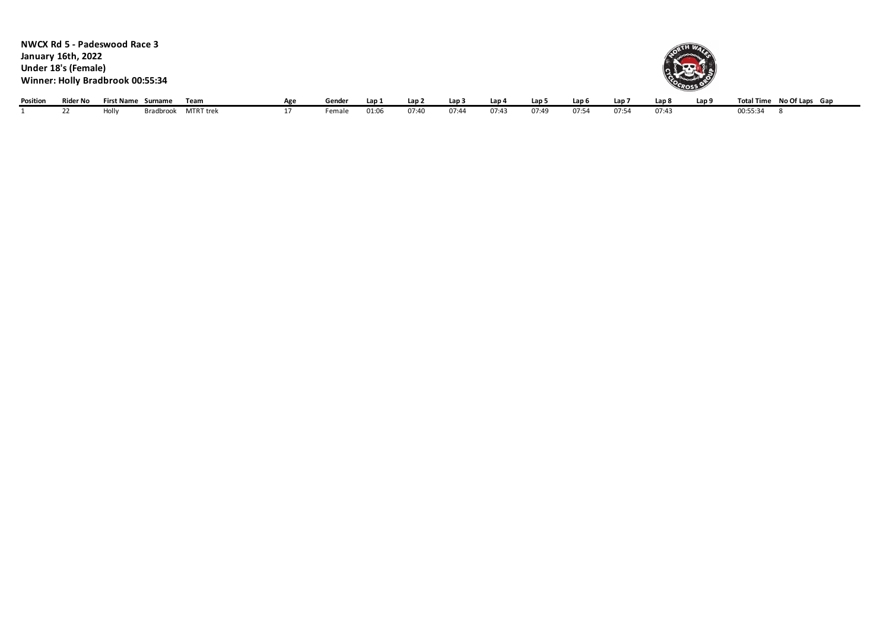|          | January 16th, 2022<br>Under 18's (Female) | NWCX Rd 5 - Padeswood Race 3<br>Winner: Holly Bradbrook 00:55:34 |                     |     |        |       |       |                  |       |                  |                  |       | <b>LEO GROSS</b> |                  |                           |
|----------|-------------------------------------------|------------------------------------------------------------------|---------------------|-----|--------|-------|-------|------------------|-------|------------------|------------------|-------|------------------|------------------|---------------------------|
| Position | Rider No                                  | First Name Surname                                               | Team                | Age | Gender | Lap 1 | Lap 2 | Lap <sub>3</sub> | Lap 4 | Lap <sub>5</sub> | Lap <sub>6</sub> | Lap 7 | Lap 8            | Lap <sub>9</sub> | Total Time No Of Laps Gap |
|          | 22                                        | Holly                                                            | Bradbrook MTRT trek | 17  | Female | 01:06 | 07:40 | 07:44            | 07:43 | 07:49            | 07:54            | 07:54 | 07:43            |                  | 00:55:34                  |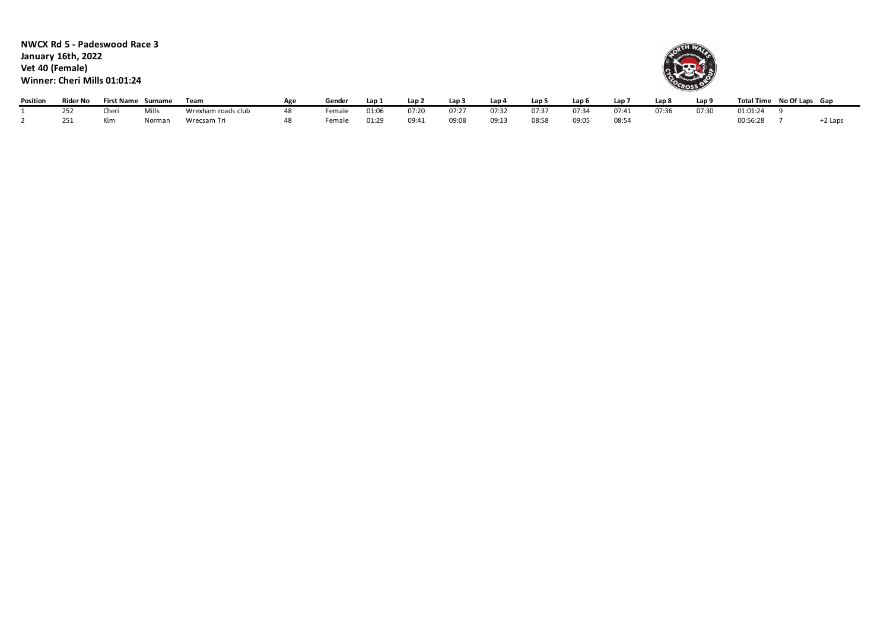**NWCX Rd 5 - Padeswood Race 3 January 16th, 2022 Vet 40 (Female) Winner: Cheri Mills 01:01:24**



| Position | Rider No       | <b>First Name</b> | Surname | Team               | Gender | Lap:              | Lap 2 | Lap <sub>3</sub> | Lap 4 | Lap 5 | Lap <sub>6</sub> | Lap T | Lap 8 | Lap 9 | Total Time | No Of Laps Gap |         |
|----------|----------------|-------------------|---------|--------------------|--------|-------------------|-------|------------------|-------|-------|------------------|-------|-------|-------|------------|----------------|---------|
|          | 252            | Cheri             | Mills   | Wrexham roads club | emale  | 01:0 <sup>o</sup> | 07:20 | 07:27            | 07:3  | 07:37 | 07:34            | 07:41 | 07:36 | 07:30 | 01:01:24   |                |         |
|          | $2 - 4$<br>∠J⊥ | Kim               | Norman  | Wrecsam Tri        | emale  | 01:29             | 09:41 | 09:08            | 09:13 | 08:58 | 09:05            | 08:54 |       |       | 00:56:28   |                | +2 Laps |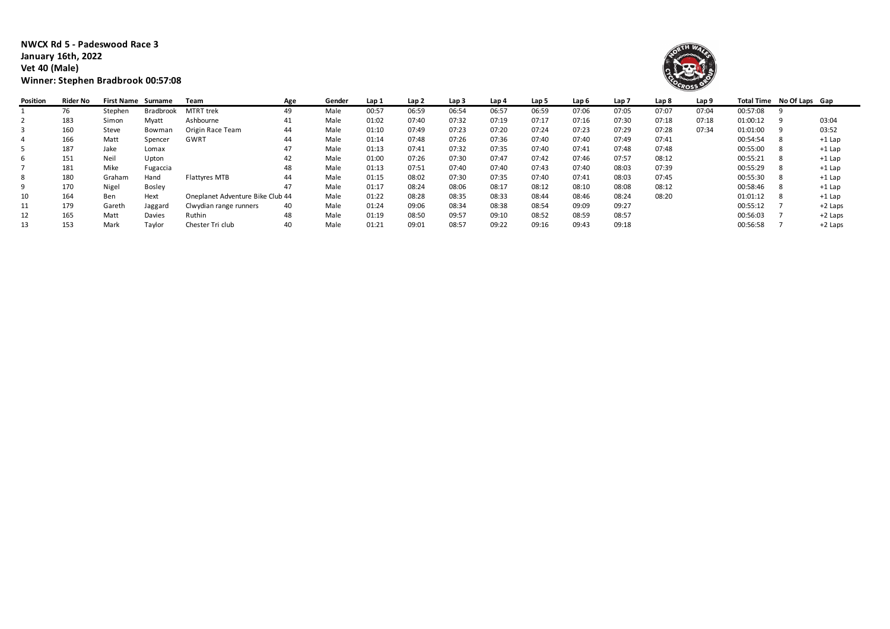**NWCX Rd 5 - Padeswood Race 3 January 16th, 2022 Vet 40 (Male) Winner: Stephen Bradbrook 00:57:08**



| Position | Rider No | <b>First Name Surname</b> |               | Team                             | Age | Gender | Lap 1 | Lap 2 | Lap 3 | Lap 4 | Lap 5 | Lap 6 | Lap <sub>7</sub> | Lap 8 | Lap 9 |          | Total Time No Of Laps Gap |           |
|----------|----------|---------------------------|---------------|----------------------------------|-----|--------|-------|-------|-------|-------|-------|-------|------------------|-------|-------|----------|---------------------------|-----------|
|          | 76       | Stephen                   | Bradbrook     | <b>MTRT</b> trek                 | 49  | Male   | 00:57 | 06:59 | 06:54 | 06:57 | 06:59 | 07:06 | 07:05            | 07:07 | 07:04 | 00:57:08 |                           |           |
| ∠        | 183      | Simon                     | Myatt         | Ashbourne                        | 41  | Male   | 01:02 | 07:40 | 07:32 | 07:19 | 07:17 | 07:16 | 07:30            | 07:18 | 07:18 | 01:00:12 |                           | 03:04     |
|          | 160      | Steve                     | Bowman        | Origin Race Team                 | 44  | Male   | 01:10 | 07:49 | 07:23 | 07:20 | 07:24 | 07:23 | 07:29            | 07:28 | 07:34 | 01:01:00 |                           | 03:52     |
| 4        | 166      | Matt                      | Spencer       | GWRT                             | 44  | Male   | 01:14 | 07:48 | 07:26 | 07:36 | 07:40 | 07:40 | 07:49            | 07:41 |       | 00:54:54 |                           | $+1$ Lap  |
|          | 187      | Jake                      | Lomax         |                                  | 47  | Male   | 01:13 | 07:41 | 07:32 | 07:35 | 07:40 | 07:41 | 07:48            | 07:48 |       | 00:55:00 |                           | $+1$ Lap  |
| ь        | 151      | Neil                      | Upton         |                                  | 42  | Male   | 01:00 | 07:26 | 07:30 | 07:47 | 07:42 | 07:46 | 07:57            | 08:12 |       | 00:55:21 |                           | $+1$ Lap  |
|          | 181      | Mike                      | Fugaccia      |                                  | 48  | Male   | 01:13 | 07:51 | 07:40 | 07:40 | 07:43 | 07:40 | 08:03            | 07:39 |       | 00:55:29 |                           | $+1$ Lap  |
| 8        | 180      | Graham                    | Hand          | Flattyres MTB                    | 44  | Male   | 01:15 | 08:02 | 07:30 | 07:35 | 07:40 | 07:41 | 08:03            | 07:45 |       | 00:55:30 |                           | $+1$ Lap  |
|          | 170      | Nigel                     | <b>Bosley</b> |                                  | 47  | Male   | 01:17 | 08:24 | 08:06 | 08:17 | 08:12 | 08:10 | 08:08            | 08:12 |       | 00:58:46 |                           | $+1$ Lap  |
| 10       | 164      | Ben                       | Hext          | Oneplanet Adventure Bike Club 44 |     | Male   | 01:22 | 08:28 | 08:35 | 08:33 | 08:44 | 08:46 | 08:24            | 08:20 |       | 01:01:12 |                           | $+1$ Lap  |
| 11       | 179      | Gareth                    | Jaggard       | Clwydian range runners           | 40  | Male   | 01:24 | 09:06 | 08:34 | 08:38 | 08:54 | 09:09 | 09:27            |       |       | 00:55:12 |                           | $+2$ Laps |
| 12       | 165      | Matt                      | Davies        | Ruthin                           | 48  | Male   | 01:19 | 08:50 | 09:57 | 09:10 | 08:52 | 08:59 | 08:57            |       |       | 00:56:03 |                           | $+2$ Laps |
| 13       | 153      | Mark                      | Taylor        | Chester Tri club                 | 40  | Male   | 01:21 | 09:01 | 08:57 | 09:22 | 09:16 | 09:43 | 09:18            |       |       | 00:56:58 |                           | $+2$ Laps |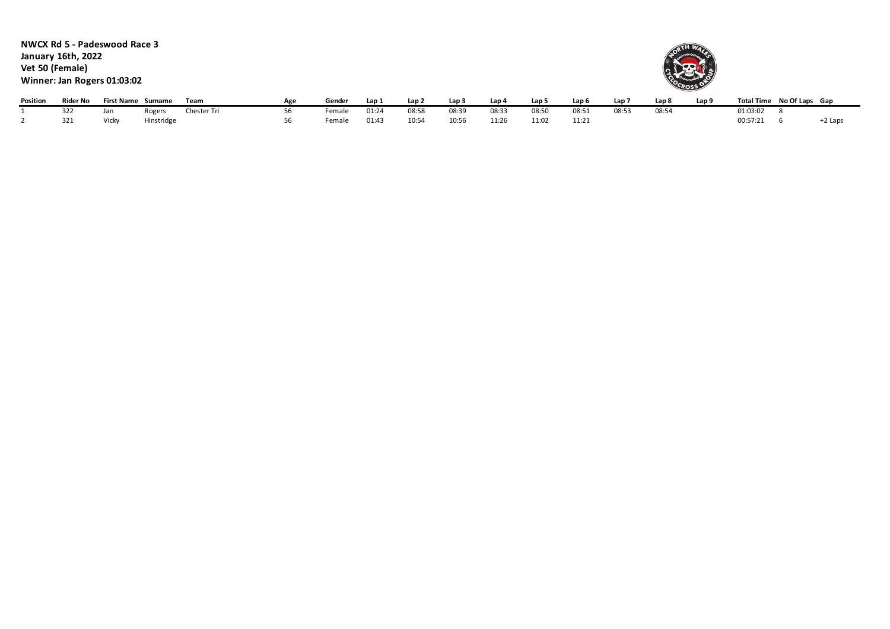**NWCX Rd 5 - Padeswood Race 3 January 16th, 2022 Vet 50 (Female) Winner: Jan Rogers 01:03:02**



| Position | Rider No |       | First Name Surname | Team        | Age | Gender | Lap 1 | Lan 2 | Lap 3 | Lap 4 | Lap 5 | Lap 6 | Lap . | Lap 8 | Lap! |          | Total Time No Of Laps Gap |         |
|----------|----------|-------|--------------------|-------------|-----|--------|-------|-------|-------|-------|-------|-------|-------|-------|------|----------|---------------------------|---------|
|          | 322      | Jan   | रेogers            | Chester Tri |     | emale  | 01:24 | 08:58 | 08:39 | 08:33 | 08:50 | 08:51 | 08:53 | 08:54 |      | 01:03:02 |                           |         |
|          | 321      | Vicky | Hinstridge         |             |     | Female | 01:4  | 10:54 | 10:56 | 11:26 | 11:02 | 11:21 |       |       |      | 00:57:21 |                           | +2 Laps |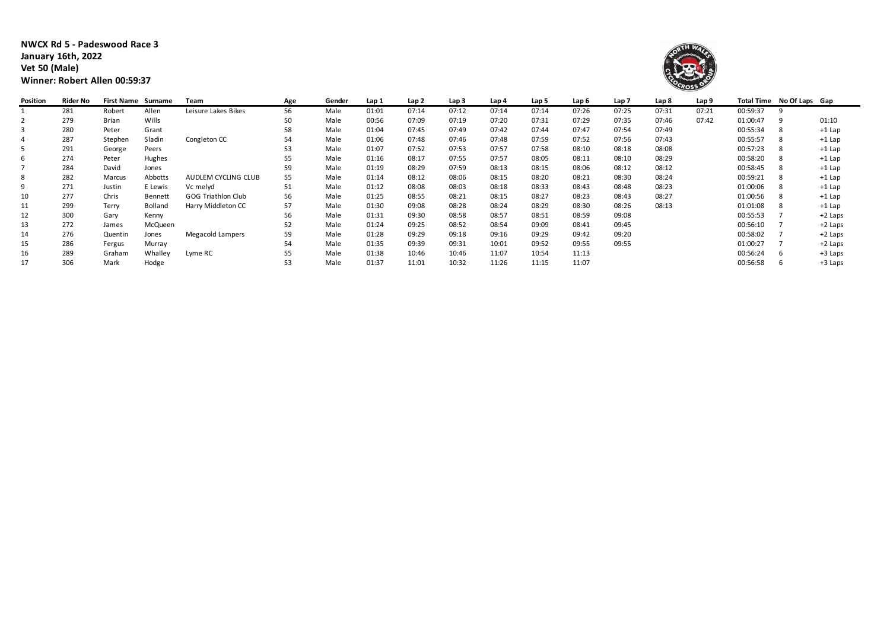**NWCX Rd 5 - Padeswood Race 3 January 16th, 2022 Vet 50 (Male) Winner: Robert Allen 00:59:37**



| Position | Rider No | <b>First Name Surname</b> |                | Team                      | Age | Gender | Lap 1 | Lap 2 | Lap 3 | Lap 4 | Lap 5 | Lap 6 | Lap 7 | Lap 8 | Lap 9 |          | Total Time No Of Laps Gap |           |
|----------|----------|---------------------------|----------------|---------------------------|-----|--------|-------|-------|-------|-------|-------|-------|-------|-------|-------|----------|---------------------------|-----------|
|          | 281      | Robert                    | Allen          | Leisure Lakes Bikes       | 56  | Male   | 01:01 | 07:14 | 07:12 | 07:14 | 07:14 | 07:26 | 07:25 | 07:31 | 07:21 | 00:59:37 |                           |           |
|          | 279      | <b>Brian</b>              | Wills          |                           | 50  | Male   | 00:56 | 07:09 | 07:19 | 07:20 | 07:31 | 07:29 | 07:35 | 07:46 | 07:42 | 01:00:47 | 9                         | 01:10     |
|          | 280      | Peter                     | Grant          |                           | 58  | Male   | 01:04 | 07:45 | 07:49 | 07:42 | 07:44 | 07:47 | 07:54 | 07:49 |       | 00:55:34 |                           | $+1$ Lap  |
|          | 287      | Stephen                   | Sladin         | Congleton CC              | 54  | Male   | 01:06 | 07:48 | 07:46 | 07:48 | 07:59 | 07:52 | 07:56 | 07:43 |       | 00:55:57 |                           | $+1$ Lap  |
| 5        | 291      | George                    | Peers          |                           | 53  | Male   | 01:07 | 07:52 | 07:53 | 07:57 | 07:58 | 08:10 | 08:18 | 08:08 |       | 00:57:23 |                           | $+1$ Lap  |
| 6        | 274      | Peter                     | Hughes         |                           |     | Male   | 01:16 | 08:17 | 07:55 | 07:57 | 08:05 | 08:11 | 08:10 | 08:29 |       | 00:58:20 |                           | $+1$ Lap  |
|          | 284      | David                     | Jones          |                           | 59  | Male   | 01:19 | 08:29 | 07:59 | 08:13 | 08:15 | 08:06 | 08:12 | 08:12 |       | 00:58:45 |                           | $+1$ Lap  |
| 8        | 282      | Marcus                    | Abbotts        | AUDLEM CYCLING CLUB       | 55  | Male   | 01:14 | 08:12 | 08:06 | 08:15 | 08:20 | 08:21 | 08:30 | 08:24 |       | 00:59:21 |                           | $+1$ Lap  |
| 9        | 271      | Justin                    | E Lewis        | Vc melyd                  | 51  | Male   | 01:12 | 08:08 | 08:03 | 08:18 | 08:33 | 08:43 | 08:48 | 08:23 |       | 01:00:06 | 8                         | $+1$ Lap  |
| 10       | 277      | Chris                     | Bennett        | <b>GOG Triathlon Club</b> | 56  | Male   | 01:25 | 08:55 | 08:21 | 08:15 | 08:27 | 08:23 | 08:43 | 08:27 |       | 01:00:56 | 8                         | $+1$ Lap  |
| 11       | 299      | Terry                     | <b>Bolland</b> | Harry Middleton CC        | 57  | Male   | 01:30 | 09:08 | 08:28 | 08:24 | 08:29 | 08:30 | 08:26 | 08:13 |       | 01:01:08 |                           | $+1$ Lap  |
| 12       | 300      | Gary                      | Kenny          |                           | 56  | Male   | 01:31 | 09:30 | 08:58 | 08:57 | 08:51 | 08:59 | 09:08 |       |       | 00:55:53 |                           | $+2$ Laps |
| 13       | 272      | James                     | McQueen        |                           | 52  | Male   | 01:24 | 09:25 | 08:52 | 08:54 | 09:09 | 08:41 | 09:45 |       |       | 00:56:10 |                           | +2 Laps   |
| 14       | 276      | Quentin                   | Jones          | <b>Megacold Lampers</b>   | 59  | Male   | 01:28 | 09:29 | 09:18 | 09:16 | 09:29 | 09:42 | 09:20 |       |       | 00:58:02 |                           | +2 Laps   |
| 15       | 286      | Fergus                    | Murray         |                           | 54  | Male   | 01:35 | 09:39 | 09:31 | 10:01 | 09:52 | 09:55 | 09:55 |       |       | 01:00:27 |                           | +2 Laps   |
| 16       | 289      | Graham                    | Whalley        | Lyme RC                   | 55  | Male   | 01:38 | 10:46 | 10:46 | 11:07 | 10:54 | 11:13 |       |       |       | 00:56:24 | b                         | +3 Laps   |
| 17       | 306      | Mark                      | Hodge          |                           | 53  | Male   | 01:37 | 11:01 | 10:32 | 11:26 | 11:15 | 11:07 |       |       |       | 00:56:58 |                           | +3 Laps   |